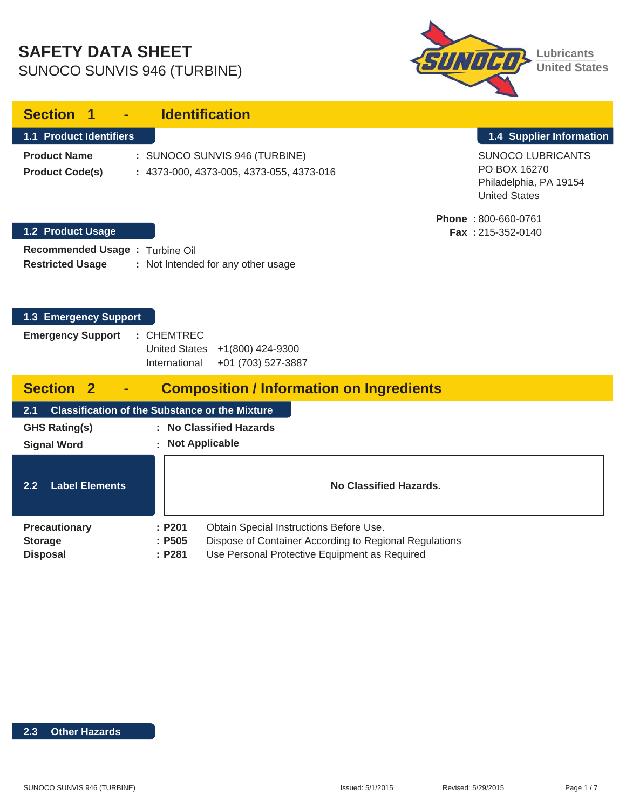# **SAFETY DATA SHEET** SUNOCO SUNVIS 946 (TURBINE)

I

I



| <b>Section</b>                                                                                                                                                                                                                        | <b>Identification</b>                                                                                                                                                            |                                                                                                                        |
|---------------------------------------------------------------------------------------------------------------------------------------------------------------------------------------------------------------------------------------|----------------------------------------------------------------------------------------------------------------------------------------------------------------------------------|------------------------------------------------------------------------------------------------------------------------|
| 1.1 Product Identifiers<br><b>Product Name</b><br><b>Product Code(s)</b>                                                                                                                                                              | : SUNOCO SUNVIS 946 (TURBINE)<br>: 4373-000, 4373-005, 4373-055, 4373-016                                                                                                        | 1.4 Supplier Information<br><b>SUNOCO LUBRICANTS</b><br>PO BOX 16270<br>Philadelphia, PA 19154<br><b>United States</b> |
| 1.2 Product Usage<br>Recommended Usage: Turbine Oil<br><b>Restricted Usage</b>                                                                                                                                                        | : Not Intended for any other usage                                                                                                                                               | Phone: 800-660-0761<br>Fax: 215-352-0140                                                                               |
| 1.3 Emergency Support<br><b>Emergency Support</b>                                                                                                                                                                                     | : CHEMTREC<br>United States +1(800) 424-9300<br>International<br>+01 (703) 527-3887                                                                                              |                                                                                                                        |
| <b>Section 2</b><br><b>Composition / Information on Ingredients</b><br><b>Classification of the Substance or the Mixture</b><br>2.1<br><b>GHS Rating(s)</b><br>: No Classified Hazards<br><b>Not Applicable</b><br><b>Signal Word</b> |                                                                                                                                                                                  |                                                                                                                        |
| <b>Label Elements</b><br>2.2 <sub>2</sub>                                                                                                                                                                                             | No Classified Hazards.                                                                                                                                                           |                                                                                                                        |
| <b>Precautionary</b><br><b>Storage</b><br><b>Disposal</b>                                                                                                                                                                             | : P201<br>Obtain Special Instructions Before Use.<br>Dispose of Container According to Regional Regulations<br>: P505<br>: P281<br>Use Personal Protective Equipment as Required |                                                                                                                        |

#### **2.3 Other Hazards**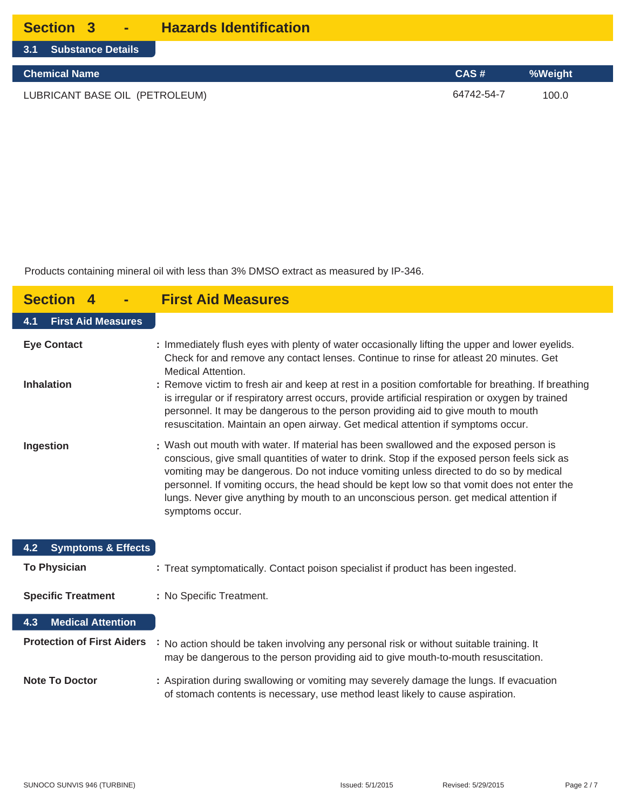| <b>Section 3</b> |  | <b>Hazards Identification</b> |
|------------------|--|-------------------------------|
|------------------|--|-------------------------------|

| 3.1 Substance Details          |            |         |
|--------------------------------|------------|---------|
| <b>Chemical Name</b>           | CAS#       | %Weight |
| LUBRICANT BASE OIL (PETROLEUM) | 64742-54-7 | 100.0   |

Products containing mineral oil with less than 3% DMSO extract as measured by IP-346.

| <b>Section</b>                       | <b>First Aid Measures</b>                                                                                                                                                                                                                                                                                                                                                                                                                                                                  |
|--------------------------------------|--------------------------------------------------------------------------------------------------------------------------------------------------------------------------------------------------------------------------------------------------------------------------------------------------------------------------------------------------------------------------------------------------------------------------------------------------------------------------------------------|
| <b>First Aid Measures</b><br>4.1     |                                                                                                                                                                                                                                                                                                                                                                                                                                                                                            |
| <b>Eye Contact</b>                   | : Immediately flush eyes with plenty of water occasionally lifting the upper and lower eyelids.<br>Check for and remove any contact lenses. Continue to rinse for atleast 20 minutes. Get<br><b>Medical Attention.</b>                                                                                                                                                                                                                                                                     |
| <b>Inhalation</b>                    | : Remove victim to fresh air and keep at rest in a position comfortable for breathing. If breathing<br>is irregular or if respiratory arrest occurs, provide artificial respiration or oxygen by trained<br>personnel. It may be dangerous to the person providing aid to give mouth to mouth<br>resuscitation. Maintain an open airway. Get medical attention if symptoms occur.                                                                                                          |
| Ingestion                            | : Wash out mouth with water. If material has been swallowed and the exposed person is<br>conscious, give small quantities of water to drink. Stop if the exposed person feels sick as<br>vomiting may be dangerous. Do not induce vomiting unless directed to do so by medical<br>personnel. If vomiting occurs, the head should be kept low so that vomit does not enter the<br>lungs. Never give anything by mouth to an unconscious person. get medical attention if<br>symptoms occur. |
| <b>Symptoms &amp; Effects</b><br>4.2 |                                                                                                                                                                                                                                                                                                                                                                                                                                                                                            |
| <b>To Physician</b>                  | : Treat symptomatically. Contact poison specialist if product has been ingested.                                                                                                                                                                                                                                                                                                                                                                                                           |
| <b>Specific Treatment</b>            | : No Specific Treatment.                                                                                                                                                                                                                                                                                                                                                                                                                                                                   |
| <b>Medical Attention</b><br>4.3      |                                                                                                                                                                                                                                                                                                                                                                                                                                                                                            |
| <b>Protection of First Aiders</b>    | No action should be taken involving any personal risk or without suitable training. It<br>may be dangerous to the person providing aid to give mouth-to-mouth resuscitation.                                                                                                                                                                                                                                                                                                               |
| <b>Note To Doctor</b>                | : Aspiration during swallowing or vomiting may severely damage the lungs. If evacuation<br>of stomach contents is necessary, use method least likely to cause aspiration.                                                                                                                                                                                                                                                                                                                  |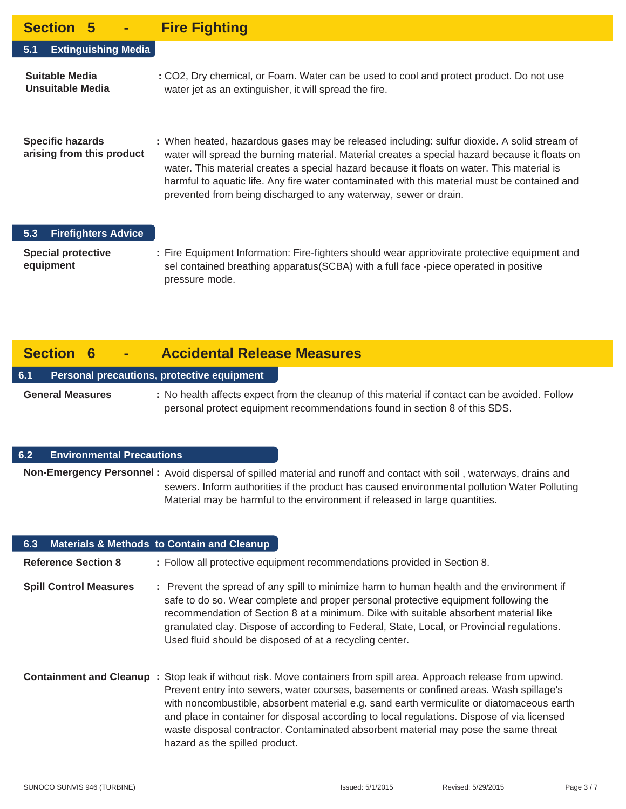| <b>Section 5</b><br>$\blacksquare$                   | <b>Fire Fighting</b>                                                                                                                                                                                                                                                                                                                                                                                                                                             |
|------------------------------------------------------|------------------------------------------------------------------------------------------------------------------------------------------------------------------------------------------------------------------------------------------------------------------------------------------------------------------------------------------------------------------------------------------------------------------------------------------------------------------|
| <b>Extinguishing Media</b><br>5.1                    |                                                                                                                                                                                                                                                                                                                                                                                                                                                                  |
| <b>Suitable Media</b><br>Unsuitable Media            | : CO2, Dry chemical, or Foam. Water can be used to cool and protect product. Do not use<br>water jet as an extinguisher, it will spread the fire.                                                                                                                                                                                                                                                                                                                |
| <b>Specific hazards</b><br>arising from this product | : When heated, hazardous gases may be released including: sulfur dioxide. A solid stream of<br>water will spread the burning material. Material creates a special hazard because it floats on<br>water. This material creates a special hazard because it floats on water. This material is<br>harmful to aquatic life. Any fire water contaminated with this material must be contained and<br>prevented from being discharged to any waterway, sewer or drain. |

#### **5.3 Firefighters Advice**

**Special protective : equipment** Fire Equipment Information: Fire-fighters should wear appriovirate protective equipment and sel contained breathing apparatus(SCBA) with a full face -piece operated in positive pressure mode.

### **Section 6 - Accidental Release Measures**

#### **6.1 Personal precautions, protective equipment**

General Measures : No health affects expect from the cleanup of this material if contact can be avoided. Follow personal protect equipment recommendations found in section 8 of this SDS.

#### **6.2 Environmental Precautions**

Non-Emergency Personnel: Avoid dispersal of spilled material and runoff and contact with soil, waterways, drains and sewers. Inform authorities if the product has caused environmental pollution Water Polluting Material may be harmful to the environment if released in large quantities.

| 6.3                           | <b>Materials &amp; Methods to Contain and Cleanup</b>                                                                                                                                                                                                                                                                                                                                                                                                                                                                                     |
|-------------------------------|-------------------------------------------------------------------------------------------------------------------------------------------------------------------------------------------------------------------------------------------------------------------------------------------------------------------------------------------------------------------------------------------------------------------------------------------------------------------------------------------------------------------------------------------|
| <b>Reference Section 8</b>    | : Follow all protective equipment recommendations provided in Section 8.                                                                                                                                                                                                                                                                                                                                                                                                                                                                  |
| <b>Spill Control Measures</b> | : Prevent the spread of any spill to minimize harm to human health and the environment if<br>safe to do so. Wear complete and proper personal protective equipment following the<br>recommendation of Section 8 at a minimum. Dike with suitable absorbent material like<br>granulated clay. Dispose of according to Federal, State, Local, or Provincial regulations.<br>Used fluid should be disposed of at a recycling center.                                                                                                         |
|                               | <b>Containment and Cleanup</b> : Stop leak if without risk. Move containers from spill area. Approach release from upwind.<br>Prevent entry into sewers, water courses, basements or confined areas. Wash spillage's<br>with noncombustible, absorbent material e.g. sand earth vermiculite or diatomaceous earth<br>and place in container for disposal according to local regulations. Dispose of via licensed<br>waste disposal contractor. Contaminated absorbent material may pose the same threat<br>hazard as the spilled product. |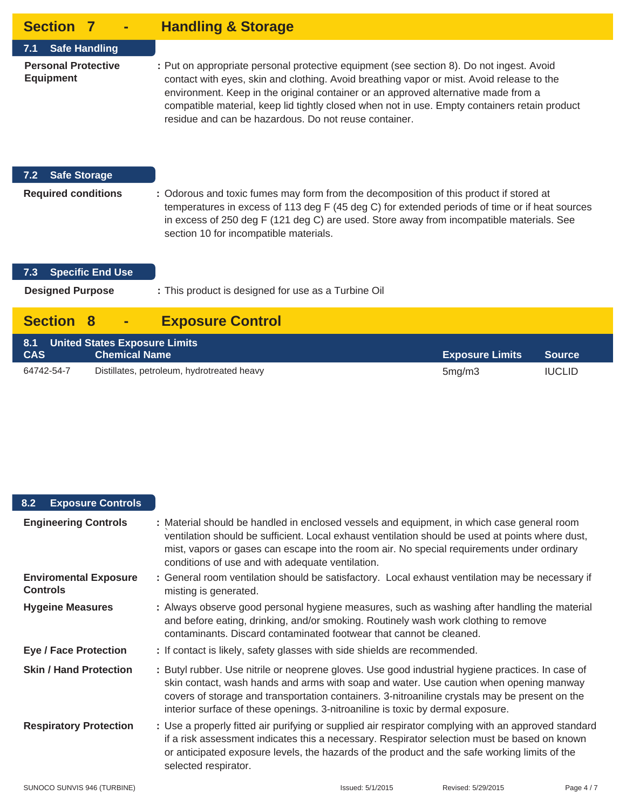| <b>Section 7</b><br>$\blacksquare$                                                | <b>Handling &amp; Storage</b>                                                                                                                                                                                                                                                                                                                                                                                                         |                        |               |
|-----------------------------------------------------------------------------------|---------------------------------------------------------------------------------------------------------------------------------------------------------------------------------------------------------------------------------------------------------------------------------------------------------------------------------------------------------------------------------------------------------------------------------------|------------------------|---------------|
| <b>Safe Handling</b><br>7.1                                                       |                                                                                                                                                                                                                                                                                                                                                                                                                                       |                        |               |
| <b>Personal Protective</b><br><b>Equipment</b>                                    | : Put on appropriate personal protective equipment (see section 8). Do not ingest. Avoid<br>contact with eyes, skin and clothing. Avoid breathing vapor or mist. Avoid release to the<br>environment. Keep in the original container or an approved alternative made from a<br>compatible material, keep lid tightly closed when not in use. Empty containers retain product<br>residue and can be hazardous. Do not reuse container. |                        |               |
| <b>Safe Storage</b><br>7.2                                                        |                                                                                                                                                                                                                                                                                                                                                                                                                                       |                        |               |
| <b>Required conditions</b>                                                        | : Odorous and toxic fumes may form from the decomposition of this product if stored at<br>temperatures in excess of 113 deg F (45 deg C) for extended periods of time or if heat sources<br>in excess of 250 deg F (121 deg C) are used. Store away from incompatible materials. See<br>section 10 for incompatible materials.                                                                                                        |                        |               |
| <b>Specific End Use</b><br>7.3                                                    |                                                                                                                                                                                                                                                                                                                                                                                                                                       |                        |               |
| <b>Designed Purpose</b>                                                           | : This product is designed for use as a Turbine Oil                                                                                                                                                                                                                                                                                                                                                                                   |                        |               |
| <b>Section 8</b>                                                                  | <b>Exposure Control</b>                                                                                                                                                                                                                                                                                                                                                                                                               |                        |               |
| <b>United States Exposure Limits</b><br>8.1<br><b>Chemical Name</b><br><b>CAS</b> |                                                                                                                                                                                                                                                                                                                                                                                                                                       | <b>Exposure Limits</b> | <b>Source</b> |
| 64742-54-7                                                                        | Distillates, petroleum, hydrotreated heavy                                                                                                                                                                                                                                                                                                                                                                                            | 5mg/m3                 | <b>IUCLID</b> |

### **8.2 Exposure Controls**

| <b>Engineering Controls</b>                     | : Material should be handled in enclosed vessels and equipment, in which case general room<br>ventilation should be sufficient. Local exhaust ventilation should be used at points where dust,<br>mist, vapors or gases can escape into the room air. No special requirements under ordinary<br>conditions of use and with adequate ventilation.                                 |
|-------------------------------------------------|----------------------------------------------------------------------------------------------------------------------------------------------------------------------------------------------------------------------------------------------------------------------------------------------------------------------------------------------------------------------------------|
| <b>Enviromental Exposure</b><br><b>Controls</b> | : General room ventilation should be satisfactory. Local exhaust ventilation may be necessary if<br>misting is generated.                                                                                                                                                                                                                                                        |
| <b>Hygeine Measures</b>                         | : Always observe good personal hygiene measures, such as washing after handling the material<br>and before eating, drinking, and/or smoking. Routinely wash work clothing to remove<br>contaminants. Discard contaminated footwear that cannot be cleaned.                                                                                                                       |
| <b>Eye / Face Protection</b>                    | : If contact is likely, safety glasses with side shields are recommended.                                                                                                                                                                                                                                                                                                        |
| <b>Skin / Hand Protection</b>                   | : Butyl rubber. Use nitrile or neoprene gloves. Use good industrial hygiene practices. In case of<br>skin contact, wash hands and arms with soap and water. Use caution when opening manway<br>covers of storage and transportation containers. 3-nitroaniline crystals may be present on the<br>interior surface of these openings. 3-nitroaniline is toxic by dermal exposure. |
| <b>Respiratory Protection</b>                   | : Use a properly fitted air purifying or supplied air respirator complying with an approved standard<br>if a risk assessment indicates this a necessary. Respirator selection must be based on known<br>or anticipated exposure levels, the hazards of the product and the safe working limits of the<br>selected respirator.                                                    |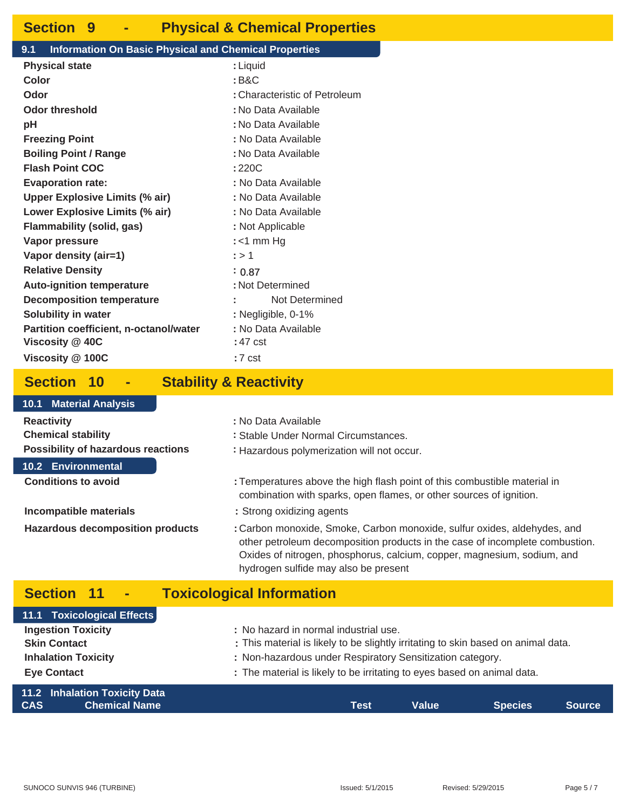### **Section 9 - Physical & Chemical Properties**

#### **9.1 Information On Basic Physical and Chemical Properties**

| <b>Physical state</b>                           | : Liquid                      |  |
|-------------------------------------------------|-------------------------------|--|
| Color                                           | : B&C                         |  |
| Odor                                            | : Characteristic of Petroleum |  |
| <b>Odor threshold</b>                           | : No Data Available           |  |
| рH                                              | : No Data Available           |  |
| <b>Freezing Point</b>                           | : No Data Available           |  |
| <b>Boiling Point / Range</b>                    | : No Data Available           |  |
| <b>Flash Point COC</b><br>:220C                 |                               |  |
| : No Data Available<br><b>Evaporation rate:</b> |                               |  |
| <b>Upper Explosive Limits (% air)</b>           | : No Data Available           |  |
| Lower Explosive Limits (% air)                  | : No Data Available           |  |
| Flammability (solid, gas)<br>: Not Applicable   |                               |  |
| $:$ <1 mm Hg<br>Vapor pressure                  |                               |  |
| Vapor density (air=1)                           | : > 1                         |  |
| <b>Relative Density</b>                         | : 0.87                        |  |
| <b>Auto-ignition temperature</b>                | : Not Determined              |  |
| <b>Decomposition temperature</b>                | Not Determined                |  |
| Solubility in water                             | : Negligible, 0-1%            |  |
| <b>Partition coefficient, n-octanol/water</b>   | : No Data Available           |  |
| Viscosity @ 40C                                 | : 47 cst                      |  |
| Viscosity @ 100C                                | $:7$ cst                      |  |
|                                                 |                               |  |

### **Section 10 - Stability & Reactivity**

#### **Reactivity : Chemical stability : Possibility of hazardous reactions :** : No Data Available Stable Under Normal Circumstances. : Hazardous polymerization will not occur. Temperatures above the high flash point of this combustible material in combination with sparks, open flames, or other sources of ignition. **Incompatible materials : Hazardous decomposition products :** Strong oxidizing agents Carbon monoxide, Smoke, Carbon monoxide, sulfur oxides, aldehydes, and other petroleum decomposition products in the case of incomplete combustion. Oxides of nitrogen, phosphorus, calcium, copper, magnesium, sodium, and hydrogen sulfide may also be present **Conditions to avoid : 10.1 Material Analysis 10.2 Environmental**

# **Section 11 - Toxicological Information**

| 11.2 Inhalation Toxicity Data<br><b>Chemical Name</b><br><b>CAS</b>                     | Test                                                                              | Value | <b>Species</b> | <b>Source</b> |
|-----------------------------------------------------------------------------------------|-----------------------------------------------------------------------------------|-------|----------------|---------------|
| <b>Eye Contact</b>                                                                      | : The material is likely to be irritating to eyes based on animal data.           |       |                |               |
| <b>Inhalation Toxicity</b><br>: Non-hazardous under Respiratory Sensitization category. |                                                                                   |       |                |               |
| <b>Skin Contact</b>                                                                     | : This material is likely to be slightly irritating to skin based on animal data. |       |                |               |
| <b>Ingestion Toxicity</b>                                                               | : No hazard in normal industrial use.                                             |       |                |               |
| 11.1 Toxicological Effects                                                              |                                                                                   |       |                |               |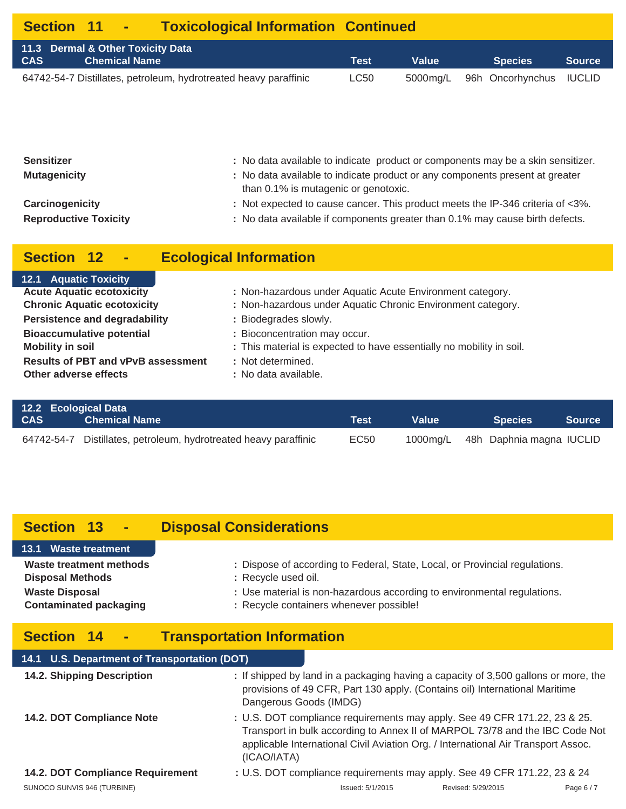## **Section 11 - Toxicological Information Continued** 64742-54-7 Distillates, petroleum, hydrotreated heavy paraffinic LC50 5000mg/L 96h Oncorhynchus IUCLID **11.3 Dermal & Other Toxicity Data CAS** Chemical Name **Test** Test Value Species Source

| <b>Sensitizer</b><br><b>Mutagenicity</b>        | : No data available to indicate product or components may be a skin sensitizer.<br>: No data available to indicate product or any components present at greater<br>than 0.1% is mutagenic or genotoxic. |
|-------------------------------------------------|---------------------------------------------------------------------------------------------------------------------------------------------------------------------------------------------------------|
| Carcinogenicity<br><b>Reproductive Toxicity</b> | : Not expected to cause cancer. This product meets the IP-346 criteria of <3%.<br>: No data available if components greater than 0.1% may cause birth defects.                                          |
| Section 12<br>٠                                 | <b>Ecological Information</b>                                                                                                                                                                           |

| <b>12.1 Aquatic Toxicity</b>              |                                                                      |
|-------------------------------------------|----------------------------------------------------------------------|
| <b>Acute Aquatic ecotoxicity</b>          | : Non-hazardous under Aquatic Acute Environment category.            |
| <b>Chronic Aquatic ecotoxicity</b>        | : Non-hazardous under Aquatic Chronic Environment category.          |
| <b>Persistence and degradability</b>      | : Biodegrades slowly.                                                |
| <b>Bioaccumulative potential</b>          | : Bioconcentration may occur.                                        |
| <b>Mobility in soil</b>                   | : This material is expected to have essentially no mobility in soil. |
| <b>Results of PBT and vPvB assessment</b> | : Not determined.                                                    |
| Other adverse effects                     | : No data available.                                                 |
|                                           |                                                                      |

| 12.2 Ecological Data<br>CAS. | <b>Chemical Name</b>                                             | Test | Value ' | <b>Source</b><br><b>Species</b>   |
|------------------------------|------------------------------------------------------------------|------|---------|-----------------------------------|
|                              | 64742-54-7 Distillates, petroleum, hydrotreated heavy paraffinic | EC50 |         | 1000mg/L 48h Daphnia magna IUCLID |

# **Section 13 - Disposal Considerations**

| 13.1 Waste treatment           |
|--------------------------------|
| <b>Waste treatment methods</b> |
| <b>Disposal Methods</b>        |
| <b>Waste Disposal</b>          |
| <b>Contaminated packaging</b>  |

# **Section 14 - Transportation Information**

| 14.1 U.S. Department of Transportation (DOT) |                        |                                                                                                                                                                                                                                                |                    |            |
|----------------------------------------------|------------------------|------------------------------------------------------------------------------------------------------------------------------------------------------------------------------------------------------------------------------------------------|--------------------|------------|
| <b>14.2. Shipping Description</b>            | Dangerous Goods (IMDG) | : If shipped by land in a packaging having a capacity of 3,500 gallons or more, the<br>provisions of 49 CFR, Part 130 apply. (Contains oil) International Maritime                                                                             |                    |            |
| 14.2. DOT Compliance Note<br>(ICAO/IATA)     |                        | : U.S. DOT compliance requirements may apply. See 49 CFR 171.22, 23 & 25.<br>Transport in bulk according to Annex II of MARPOL 73/78 and the IBC Code Not<br>applicable International Civil Aviation Org. / International Air Transport Assoc. |                    |            |
| 14.2. DOT Compliance Requirement             |                        | : U.S. DOT compliance requirements may apply. See 49 CFR 171.22, 23 & 24                                                                                                                                                                       |                    |            |
| SUNOCO SUNVIS 946 (TURBINE)                  |                        | Issued: 5/1/2015                                                                                                                                                                                                                               | Revised: 5/29/2015 | Page $6/7$ |